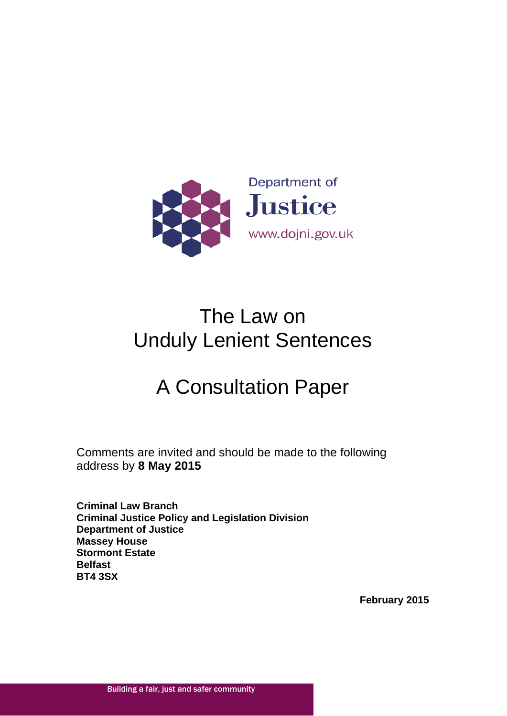

# The Law on Unduly Lenient Sentences

# A Consultation Paper

Comments are invited and should be made to the following address by **8 May 2015**

<span id="page-0-0"></span>**Criminal Law Branch Criminal Justice Policy and Legislation Division Department of Justice Massey House Stormont Estate Belfast BT4 3SX**

**February 2015**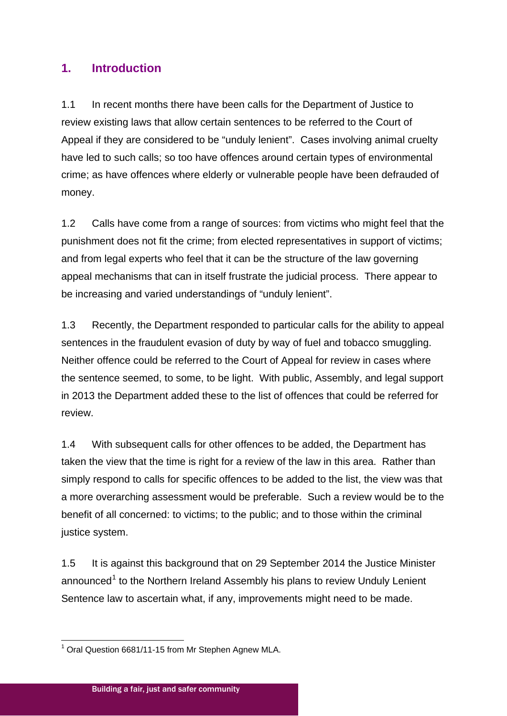# **1. Introduction**

1.1 In recent months there have been calls for the Department of Justice to review existing laws that allow certain sentences to be referred to the Court of Appeal if they are considered to be "unduly lenient". Cases involving animal cruelty have led to such calls; so too have offences around certain types of environmental crime; as have offences where elderly or vulnerable people have been defrauded of money.

1.2 Calls have come from a range of sources: from victims who might feel that the punishment does not fit the crime; from elected representatives in support of victims; and from legal experts who feel that it can be the structure of the law governing appeal mechanisms that can in itself frustrate the judicial process. There appear to be increasing and varied understandings of "unduly lenient".

1.3 Recently, the Department responded to particular calls for the ability to appeal sentences in the fraudulent evasion of duty by way of fuel and tobacco smuggling. Neither offence could be referred to the Court of Appeal for review in cases where the sentence seemed, to some, to be light. With public, Assembly, and legal support in 2013 the Department added these to the list of offences that could be referred for review.

1.4 With subsequent calls for other offences to be added, the Department has taken the view that the time is right for a review of the law in this area. Rather than simply respond to calls for specific offences to be added to the list, the view was that a more overarching assessment would be preferable. Such a review would be to the benefit of all concerned: to victims; to the public; and to those within the criminal justice system.

1.5 It is against this background that on 29 September 2014 the Justice Minister announced<sup>[1](#page-0-0)</sup> to the Northern Ireland Assembly his plans to review Unduly Lenient Sentence law to ascertain what, if any, improvements might need to be made.

<span id="page-1-0"></span><sup>&</sup>lt;sup>1</sup> Oral Question 6681/11-15 from Mr Stephen Agnew MLA.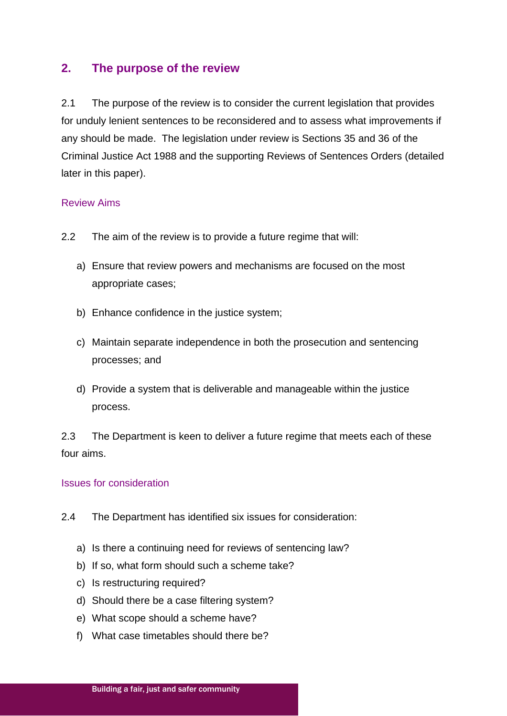## **2. The purpose of the review**

2.1 The purpose of the review is to consider the current legislation that provides for unduly lenient sentences to be reconsidered and to assess what improvements if any should be made. The legislation under review is Sections 35 and 36 of the Criminal Justice Act 1988 and the supporting Reviews of Sentences Orders (detailed later in this paper).

## Review Aims

- 2.2 The aim of the review is to provide a future regime that will:
	- a) Ensure that review powers and mechanisms are focused on the most appropriate cases;
	- b) Enhance confidence in the justice system;
	- c) Maintain separate independence in both the prosecution and sentencing processes; and
	- d) Provide a system that is deliverable and manageable within the justice process.

2.3 The Department is keen to deliver a future regime that meets each of these four aims.

#### Issues for consideration

- 2.4 The Department has identified six issues for consideration:
	- a) Is there a continuing need for reviews of sentencing law?
	- b) If so, what form should such a scheme take?
	- c) Is restructuring required?
	- d) Should there be a case filtering system?
	- e) What scope should a scheme have?
	- f) What case timetables should there be?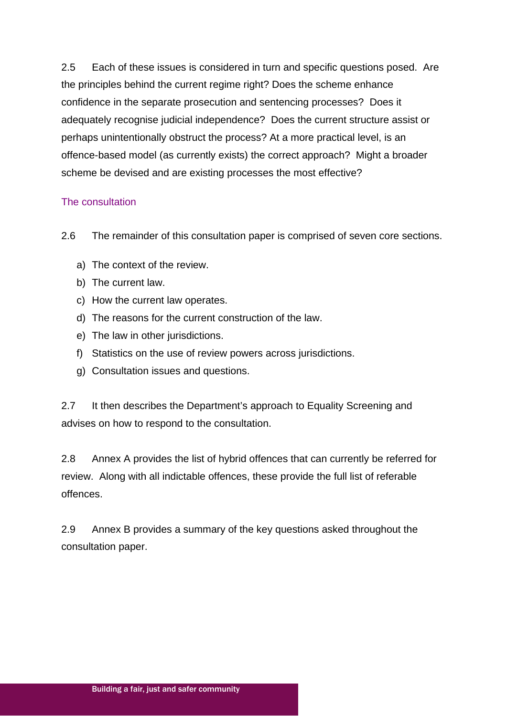2.5 Each of these issues is considered in turn and specific questions posed. Are the principles behind the current regime right? Does the scheme enhance confidence in the separate prosecution and sentencing processes? Does it adequately recognise judicial independence? Does the current structure assist or perhaps unintentionally obstruct the process? At a more practical level, is an offence-based model (as currently exists) the correct approach? Might a broader scheme be devised and are existing processes the most effective?

## The consultation

2.6 The remainder of this consultation paper is comprised of seven core sections.

- a) The context of the review.
- b) The current law.
- c) How the current law operates.
- d) The reasons for the current construction of the law.
- e) The law in other jurisdictions.
- f) Statistics on the use of review powers across jurisdictions.
- g) Consultation issues and questions.

2.7 It then describes the Department's approach to Equality Screening and advises on how to respond to the consultation.

2.8 Annex A provides the list of hybrid offences that can currently be referred for review. Along with all indictable offences, these provide the full list of referable offences.

2.9 Annex B provides a summary of the key questions asked throughout the consultation paper.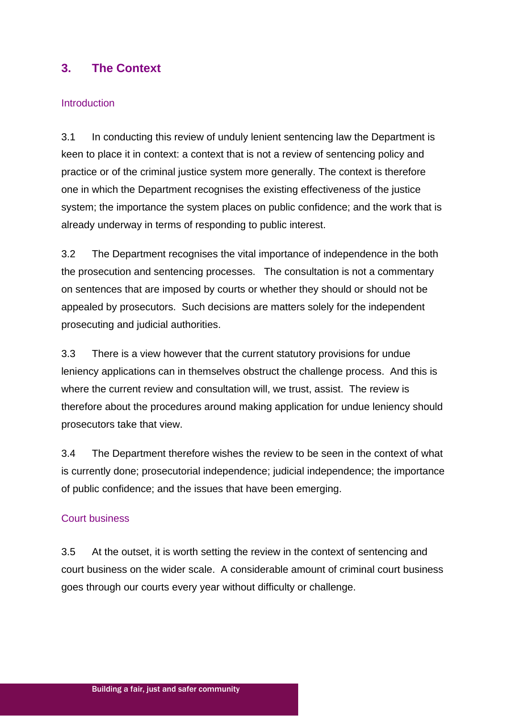# **3. The Context**

## Introduction

3.1 In conducting this review of unduly lenient sentencing law the Department is keen to place it in context: a context that is not a review of sentencing policy and practice or of the criminal justice system more generally. The context is therefore one in which the Department recognises the existing effectiveness of the justice system; the importance the system places on public confidence; and the work that is already underway in terms of responding to public interest.

3.2 The Department recognises the vital importance of independence in the both the prosecution and sentencing processes. The consultation is not a commentary on sentences that are imposed by courts or whether they should or should not be appealed by prosecutors. Such decisions are matters solely for the independent prosecuting and judicial authorities.

3.3 There is a view however that the current statutory provisions for undue leniency applications can in themselves obstruct the challenge process. And this is where the current review and consultation will, we trust, assist. The review is therefore about the procedures around making application for undue leniency should prosecutors take that view.

3.4 The Department therefore wishes the review to be seen in the context of what is currently done; prosecutorial independence; judicial independence; the importance of public confidence; and the issues that have been emerging.

## Court business

3.5 At the outset, it is worth setting the review in the context of sentencing and court business on the wider scale. A considerable amount of criminal court business goes through our courts every year without difficulty or challenge.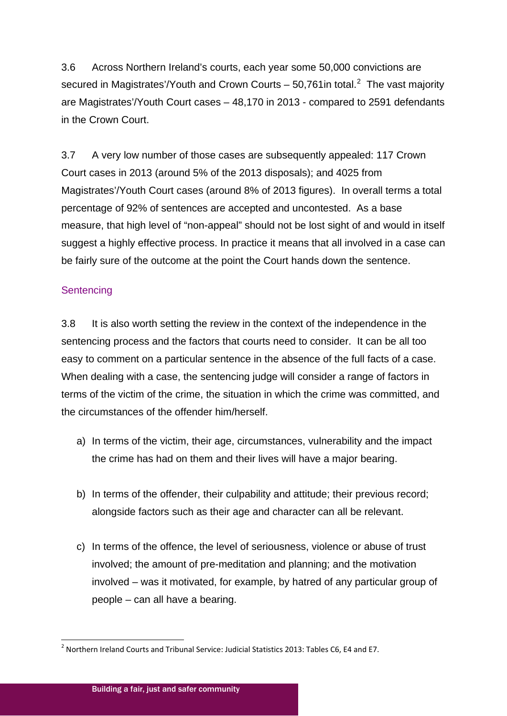3.6 Across Northern Ireland's courts, each year some 50,000 convictions are secured in Magistrates'/Youth and Crown Courts – 50,761 in total. $^2$  $^2$  The vast majority are Magistrates'/Youth Court cases – 48,170 in 2013 - compared to 2591 defendants in the Crown Court.

3.7 A very low number of those cases are subsequently appealed: 117 Crown Court cases in 2013 (around 5% of the 2013 disposals); and 4025 from Magistrates'/Youth Court cases (around 8% of 2013 figures). In overall terms a total percentage of 92% of sentences are accepted and uncontested. As a base measure, that high level of "non-appeal" should not be lost sight of and would in itself suggest a highly effective process. In practice it means that all involved in a case can be fairly sure of the outcome at the point the Court hands down the sentence.

## **Sentencing**

3.8 It is also worth setting the review in the context of the independence in the sentencing process and the factors that courts need to consider. It can be all too easy to comment on a particular sentence in the absence of the full facts of a case. When dealing with a case, the sentencing judge will consider a range of factors in terms of the victim of the crime, the situation in which the crime was committed, and the circumstances of the offender him/herself.

- a) In terms of the victim, their age, circumstances, vulnerability and the impact the crime has had on them and their lives will have a major bearing.
- b) In terms of the offender, their culpability and attitude; their previous record; alongside factors such as their age and character can all be relevant.
- c) In terms of the offence, the level of seriousness, violence or abuse of trust involved; the amount of pre-meditation and planning; and the motivation involved – was it motivated, for example, by hatred of any particular group of people – can all have a bearing.

<span id="page-5-0"></span><sup>&</sup>lt;sup>2</sup> Northern Ireland Courts and Tribunal Service: Judicial Statistics 2013: Tables C6, E4 and E7.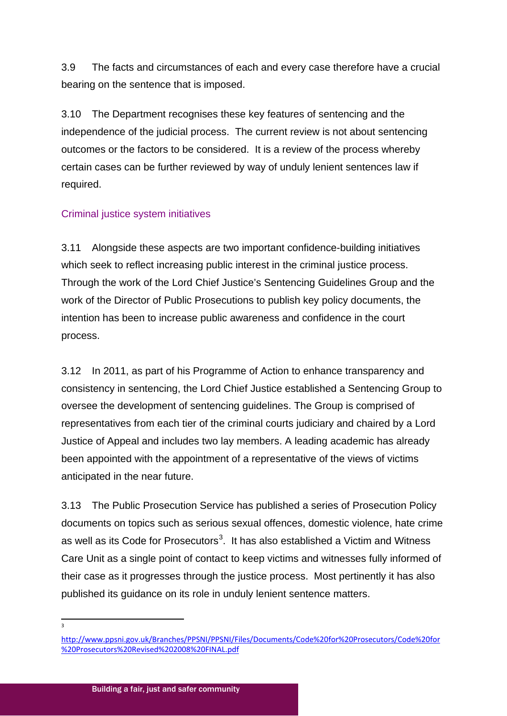3.9 The facts and circumstances of each and every case therefore have a crucial bearing on the sentence that is imposed.

3.10 The Department recognises these key features of sentencing and the independence of the judicial process. The current review is not about sentencing outcomes or the factors to be considered. It is a review of the process whereby certain cases can be further reviewed by way of unduly lenient sentences law if required.

## Criminal justice system initiatives

3.11 Alongside these aspects are two important confidence-building initiatives which seek to reflect increasing public interest in the criminal justice process. Through the work of the Lord Chief Justice's Sentencing Guidelines Group and the work of the Director of Public Prosecutions to publish key policy documents, the intention has been to increase public awareness and confidence in the court process.

3.12 In 2011, as part of his Programme of Action to enhance transparency and consistency in sentencing, the Lord Chief Justice established a Sentencing Group to oversee the development of sentencing guidelines. The Group is comprised of representatives from each tier of the criminal courts judiciary and chaired by a Lord Justice of Appeal and includes two lay members. A leading academic has already been appointed with the appointment of a representative of the views of victims anticipated in the near future.

3.13 The Public Prosecution Service has published a series of Prosecution Policy documents on topics such as serious sexual offences, domestic violence, hate crime as well as its Code for Prosecutors<sup>[3](#page-5-0)</sup>. It has also established a Victim and Witness Care Unit as a single point of contact to keep victims and witnesses fully informed of their case as it progresses through the justice process. Most pertinently it has also published its guidance on its role in unduly lenient sentence matters.

<span id="page-6-0"></span> $\frac{1}{3}$ 

[http://www.ppsni.gov.uk/Branches/PPSNI/PPSNI/Files/Documents/Code%20for%20Prosecutors/Code%20for](http://www.ppsni.gov.uk/Branches/PPSNI/PPSNI/Files/Documents/Code%20for%20Prosecutors/Code%20for%20Prosecutors%20Revised%202008%20FINAL.pdf) [%20Prosecutors%20Revised%202008%20FINAL.pdf](http://www.ppsni.gov.uk/Branches/PPSNI/PPSNI/Files/Documents/Code%20for%20Prosecutors/Code%20for%20Prosecutors%20Revised%202008%20FINAL.pdf)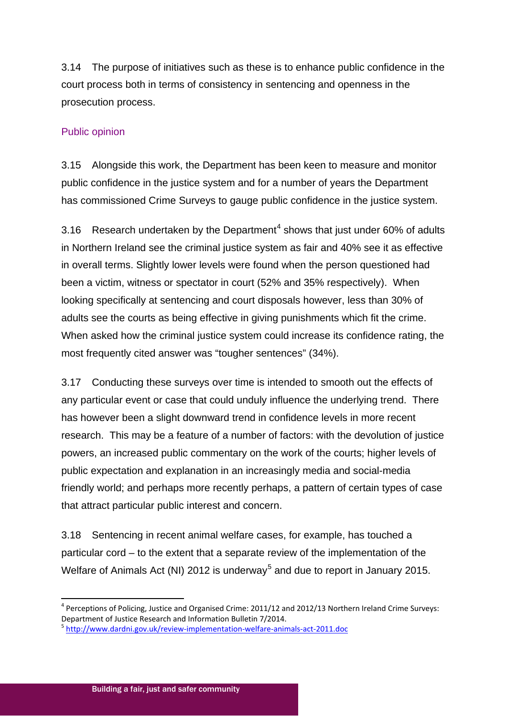3.14 The purpose of initiatives such as these is to enhance public confidence in the court process both in terms of consistency in sentencing and openness in the prosecution process.

## Public opinion

3.15 Alongside this work, the Department has been keen to measure and monitor public confidence in the justice system and for a number of years the Department has commissioned Crime Surveys to gauge public confidence in the justice system.

3.16 Research undertaken by the Department<sup>[4](#page-6-0)</sup> shows that just under  $60\%$  of adults in Northern Ireland see the criminal justice system as fair and 40% see it as effective in overall terms. Slightly lower levels were found when the person questioned had been a victim, witness or spectator in court (52% and 35% respectively). When looking specifically at sentencing and court disposals however, less than 30% of adults see the courts as being effective in giving punishments which fit the crime. When asked how the criminal justice system could increase its confidence rating, the most frequently cited answer was "tougher sentences" (34%).

3.17 Conducting these surveys over time is intended to smooth out the effects of any particular event or case that could unduly influence the underlying trend. There has however been a slight downward trend in confidence levels in more recent research. This may be a feature of a number of factors: with the devolution of justice powers, an increased public commentary on the work of the courts; higher levels of public expectation and explanation in an increasingly media and social-media friendly world; and perhaps more recently perhaps, a pattern of certain types of case that attract particular public interest and concern.

3.18 Sentencing in recent animal welfare cases, for example, has touched a particular cord – to the extent that a separate review of the implementation of the Welfare of Animals Act (NI) 2012 is underway<sup>[5](#page-7-0)</sup> and due to report in January 2015.

 $4$  Perceptions of Policing, Justice and Organised Crime: 2011/12 and 2012/13 Northern Ireland Crime Surveys: Department of Justice Research and Information Bulletin 7/2014.

<span id="page-7-1"></span><span id="page-7-0"></span><sup>5</sup> <http://www.dardni.gov.uk/review-implementation-welfare-animals-act-2011.doc>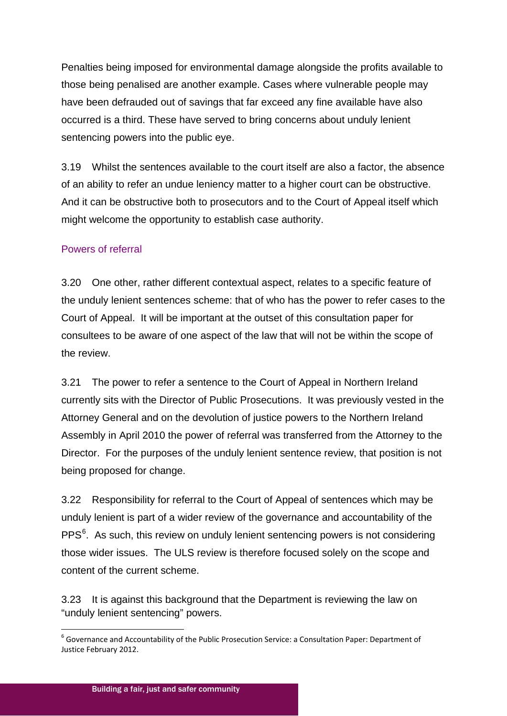Penalties being imposed for environmental damage alongside the profits available to those being penalised are another example. Cases where vulnerable people may have been defrauded out of savings that far exceed any fine available have also occurred is a third. These have served to bring concerns about unduly lenient sentencing powers into the public eye.

3.19 Whilst the sentences available to the court itself are also a factor, the absence of an ability to refer an undue leniency matter to a higher court can be obstructive. And it can be obstructive both to prosecutors and to the Court of Appeal itself which might welcome the opportunity to establish case authority.

## Powers of referral

3.20 One other, rather different contextual aspect, relates to a specific feature of the unduly lenient sentences scheme: that of who has the power to refer cases to the Court of Appeal. It will be important at the outset of this consultation paper for consultees to be aware of one aspect of the law that will not be within the scope of the review.

3.21 The power to refer a sentence to the Court of Appeal in Northern Ireland currently sits with the Director of Public Prosecutions. It was previously vested in the Attorney General and on the devolution of justice powers to the Northern Ireland Assembly in April 2010 the power of referral was transferred from the Attorney to the Director. For the purposes of the unduly lenient sentence review, that position is not being proposed for change.

3.22 Responsibility for referral to the Court of Appeal of sentences which may be unduly lenient is part of a wider review of the governance and accountability of the PPS<sup>[6](#page-7-1)</sup>. As such, this review on unduly lenient sentencing powers is not considering those wider issues. The ULS review is therefore focused solely on the scope and content of the current scheme.

<span id="page-8-0"></span>3.23 It is against this background that the Department is reviewing the law on "unduly lenient sentencing" powers.

 <sup>6</sup> Governance and Accountability of the Public Prosecution Service: a Consultation Paper: Department of Justice February 2012.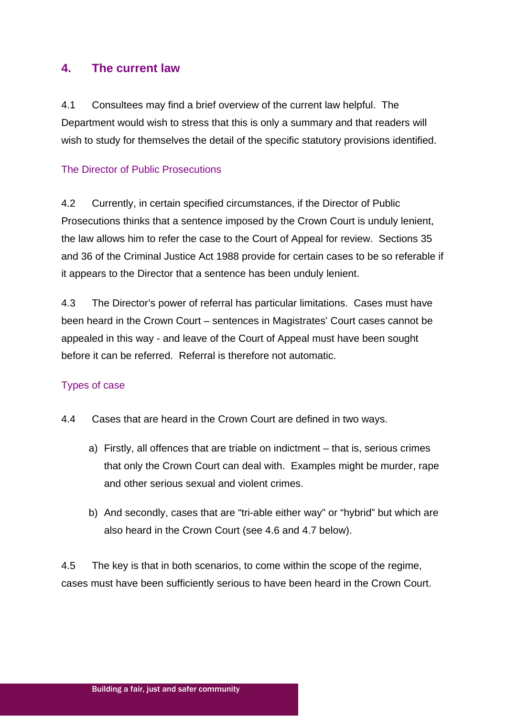## **4. The current law**

4.1 Consultees may find a brief overview of the current law helpful. The Department would wish to stress that this is only a summary and that readers will wish to study for themselves the detail of the specific statutory provisions identified.

## The Director of Public Prosecutions

4.2 Currently, in certain specified circumstances, if the Director of Public Prosecutions thinks that a sentence imposed by the Crown Court is unduly lenient, the law allows him to refer the case to the Court of Appeal for review. Sections 35 and 36 of the Criminal Justice Act 1988 provide for certain cases to be so referable if it appears to the Director that a sentence has been unduly lenient.

4.3 The Director's power of referral has particular limitations. Cases must have been heard in the Crown Court – sentences in Magistrates' Court cases cannot be appealed in this way - and leave of the Court of Appeal must have been sought before it can be referred. Referral is therefore not automatic.

## Types of case

- 4.4 Cases that are heard in the Crown Court are defined in two ways.
	- a) Firstly, all offences that are triable on indictment that is, serious crimes that only the Crown Court can deal with. Examples might be murder, rape and other serious sexual and violent crimes.
	- b) And secondly, cases that are "tri-able either way" or "hybrid" but which are also heard in the Crown Court (see 4.6 and 4.7 below).

4.5 The key is that in both scenarios, to come within the scope of the regime, cases must have been sufficiently serious to have been heard in the Crown Court.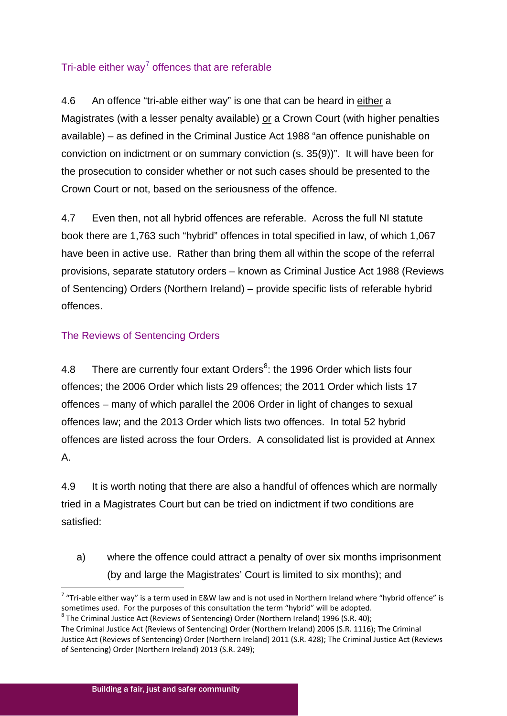## Tri-able either way<sup> $7$ </sup> offences that are referable

4.6 An offence "tri-able either way" is one that can be heard in either a Magistrates (with a lesser penalty available) or a Crown Court (with higher penalties available) – as defined in the Criminal Justice Act 1988 "an offence punishable on conviction on indictment or on summary conviction (s. 35(9))". It will have been for the prosecution to consider whether or not such cases should be presented to the Crown Court or not, based on the seriousness of the offence.

4.7 Even then, not all hybrid offences are referable. Across the full NI statute book there are 1,763 such "hybrid" offences in total specified in law, of which 1,067 have been in active use. Rather than bring them all within the scope of the referral provisions, separate statutory orders – known as Criminal Justice Act 1988 (Reviews of Sentencing) Orders (Northern Ireland) – provide specific lists of referable hybrid offences.

## The Reviews of Sentencing Orders

4.[8](#page-10-0) There are currently four extant Orders<sup>8</sup>: the 1996 Order which lists four offences; the 2006 Order which lists 29 offences; the 2011 Order which lists 17 offences – many of which parallel the 2006 Order in light of changes to sexual offences law; and the 2013 Order which lists two offences. In total 52 hybrid offences are listed across the four Orders. A consolidated list is provided at Annex A.

4.9 It is worth noting that there are also a handful of offences which are normally tried in a Magistrates Court but can be tried on indictment if two conditions are satisfied:

a) where the offence could attract a penalty of over six months imprisonment (by and large the Magistrates' Court is limited to six months); and

 $7$  "Tri-able either way" is a term used in E&W law and is not used in Northern Ireland where "hybrid offence" is sometimes used. For the purposes of this consultation the term "hybrid" will be adopted.

<span id="page-10-0"></span><sup>8</sup> The Criminal Justice Act (Reviews of Sentencing) Order (Northern Ireland) 1996 (S.R. 40);

<span id="page-10-1"></span>The Criminal Justice Act (Reviews of Sentencing) Order (Northern Ireland) 2006 (S.R. 1116); The Criminal Justice Act (Reviews of Sentencing) Order (Northern Ireland) 2011 (S.R. 428); The Criminal Justice Act (Reviews of Sentencing) Order (Northern Ireland) 2013 (S.R. 249);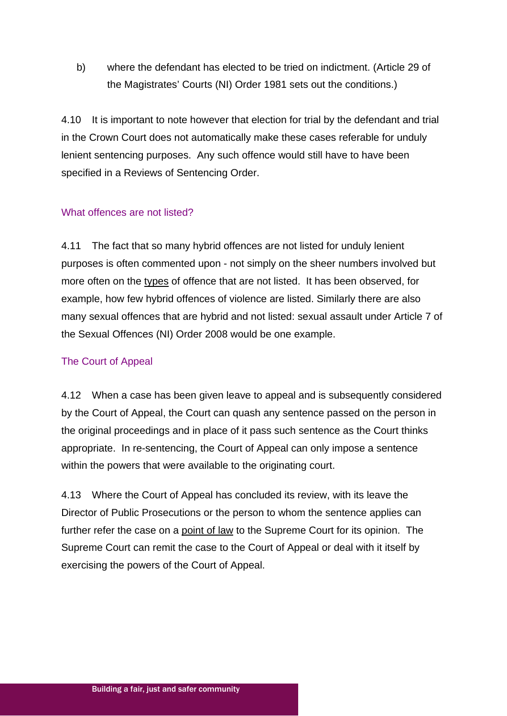b) where the defendant has elected to be tried on indictment. (Article 29 of the Magistrates' Courts (NI) Order 1981 sets out the conditions.)

4.10 It is important to note however that election for trial by the defendant and trial in the Crown Court does not automatically make these cases referable for unduly lenient sentencing purposes. Any such offence would still have to have been specified in a Reviews of Sentencing Order.

## What offences are not listed?

4.11 The fact that so many hybrid offences are not listed for unduly lenient purposes is often commented upon - not simply on the sheer numbers involved but more often on the types of offence that are not listed. It has been observed, for example, how few hybrid offences of violence are listed. Similarly there are also many sexual offences that are hybrid and not listed: sexual assault under Article 7 of the Sexual Offences (NI) Order 2008 would be one example.

## The Court of Appeal

4.12 When a case has been given leave to appeal and is subsequently considered by the Court of Appeal, the Court can quash any sentence passed on the person in the original proceedings and in place of it pass such sentence as the Court thinks appropriate. In re-sentencing, the Court of Appeal can only impose a sentence within the powers that were available to the originating court.

4.13 Where the Court of Appeal has concluded its review, with its leave the Director of Public Prosecutions or the person to whom the sentence applies can further refer the case on a point of law to the Supreme Court for its opinion. The Supreme Court can remit the case to the Court of Appeal or deal with it itself by exercising the powers of the Court of Appeal.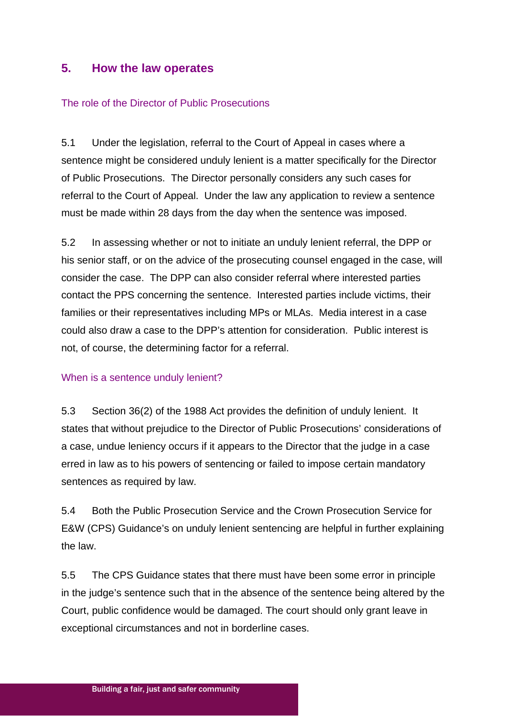## **5. How the law operates**

#### The role of the Director of Public Prosecutions

5.1 Under the legislation, referral to the Court of Appeal in cases where a sentence might be considered unduly lenient is a matter specifically for the Director of Public Prosecutions. The Director personally considers any such cases for referral to the Court of Appeal. Under the law any application to review a sentence must be made within 28 days from the day when the sentence was imposed.

5.2 In assessing whether or not to initiate an unduly lenient referral, the DPP or his senior staff, or on the advice of the prosecuting counsel engaged in the case, will consider the case. The DPP can also consider referral where interested parties contact the PPS concerning the sentence. Interested parties include victims, their families or their representatives including MPs or MLAs. Media interest in a case could also draw a case to the DPP's attention for consideration. Public interest is not, of course, the determining factor for a referral.

#### When is a sentence unduly lenient?

5.3 Section 36(2) of the 1988 Act provides the definition of unduly lenient. It states that without prejudice to the Director of Public Prosecutions' considerations of a case, undue leniency occurs if it appears to the Director that the judge in a case erred in law as to his powers of sentencing or failed to impose certain mandatory sentences as required by law.

5.4 Both the Public Prosecution Service and the Crown Prosecution Service for E&W (CPS) Guidance's on unduly lenient sentencing are helpful in further explaining the law.

5.5 The CPS Guidance states that there must have been some error in principle in the judge's sentence such that in the absence of the sentence being altered by the Court, public confidence would be damaged. The court should only grant leave in exceptional circumstances and not in borderline cases.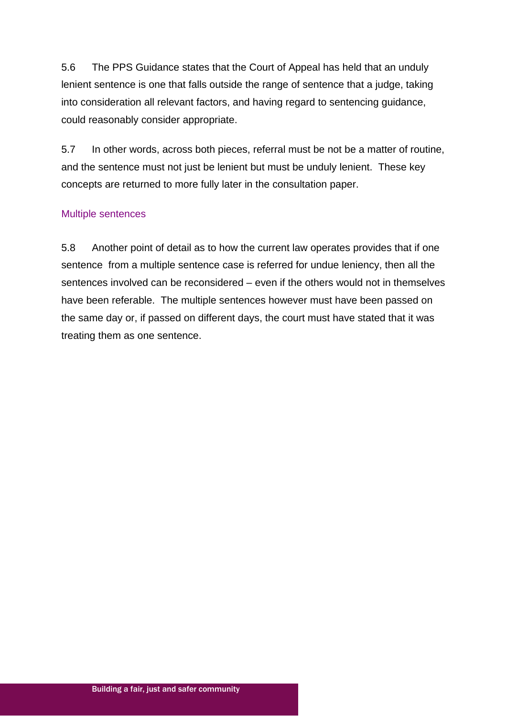5.6 The PPS Guidance states that the Court of Appeal has held that an unduly lenient sentence is one that falls outside the range of sentence that a judge, taking into consideration all relevant factors, and having regard to sentencing guidance, could reasonably consider appropriate.

5.7 In other words, across both pieces, referral must be not be a matter of routine, and the sentence must not just be lenient but must be unduly lenient. These key concepts are returned to more fully later in the consultation paper.

## Multiple sentences

5.8 Another point of detail as to how the current law operates provides that if one sentence from a multiple sentence case is referred for undue leniency, then all the sentences involved can be reconsidered – even if the others would not in themselves have been referable. The multiple sentences however must have been passed on the same day or, if passed on different days, the court must have stated that it was treating them as one sentence.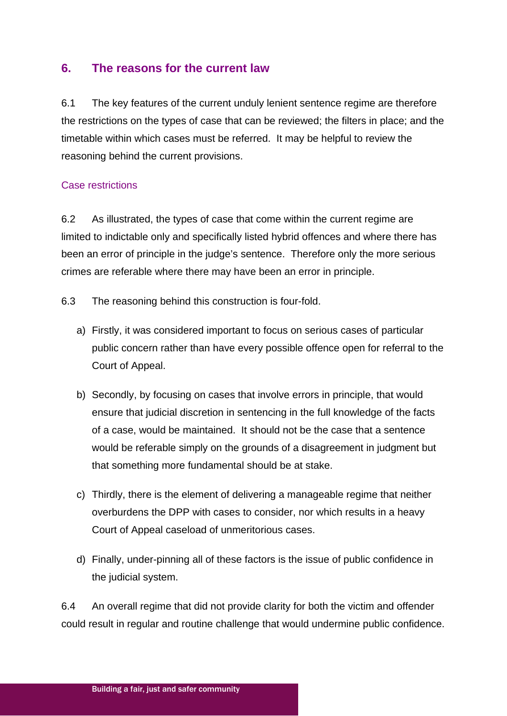## **6. The reasons for the current law**

6.1 The key features of the current unduly lenient sentence regime are therefore the restrictions on the types of case that can be reviewed; the filters in place; and the timetable within which cases must be referred. It may be helpful to review the reasoning behind the current provisions.

## Case restrictions

6.2 As illustrated, the types of case that come within the current regime are limited to indictable only and specifically listed hybrid offences and where there has been an error of principle in the judge's sentence. Therefore only the more serious crimes are referable where there may have been an error in principle.

- 6.3 The reasoning behind this construction is four-fold.
	- a) Firstly, it was considered important to focus on serious cases of particular public concern rather than have every possible offence open for referral to the Court of Appeal.
	- b) Secondly, by focusing on cases that involve errors in principle, that would ensure that judicial discretion in sentencing in the full knowledge of the facts of a case, would be maintained. It should not be the case that a sentence would be referable simply on the grounds of a disagreement in judgment but that something more fundamental should be at stake.
	- c) Thirdly, there is the element of delivering a manageable regime that neither overburdens the DPP with cases to consider, nor which results in a heavy Court of Appeal caseload of unmeritorious cases.
	- d) Finally, under-pinning all of these factors is the issue of public confidence in the judicial system.

6.4 An overall regime that did not provide clarity for both the victim and offender could result in regular and routine challenge that would undermine public confidence.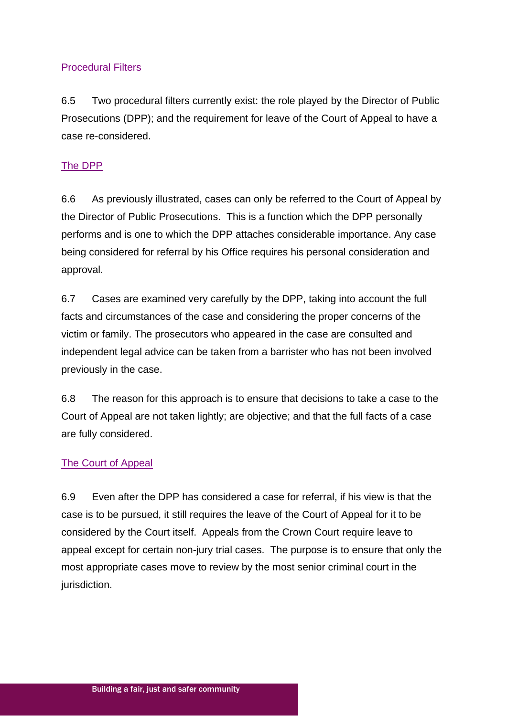## Procedural Filters

6.5 Two procedural filters currently exist: the role played by the Director of Public Prosecutions (DPP); and the requirement for leave of the Court of Appeal to have a case re-considered.

## The DPP

6.6 As previously illustrated, cases can only be referred to the Court of Appeal by the Director of Public Prosecutions. This is a function which the DPP personally performs and is one to which the DPP attaches considerable importance. Any case being considered for referral by his Office requires his personal consideration and approval.

6.7 Cases are examined very carefully by the DPP, taking into account the full facts and circumstances of the case and considering the proper concerns of the victim or family. The prosecutors who appeared in the case are consulted and independent legal advice can be taken from a barrister who has not been involved previously in the case.

6.8 The reason for this approach is to ensure that decisions to take a case to the Court of Appeal are not taken lightly; are objective; and that the full facts of a case are fully considered.

## The Court of Appeal

6.9 Even after the DPP has considered a case for referral, if his view is that the case is to be pursued, it still requires the leave of the Court of Appeal for it to be considered by the Court itself. Appeals from the Crown Court require leave to appeal except for certain non-jury trial cases. The purpose is to ensure that only the most appropriate cases move to review by the most senior criminal court in the jurisdiction.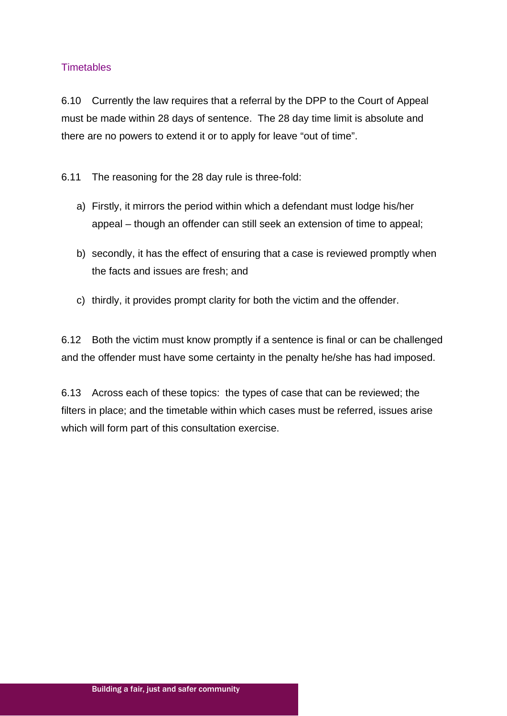## **Timetables**

6.10 Currently the law requires that a referral by the DPP to the Court of Appeal must be made within 28 days of sentence. The 28 day time limit is absolute and there are no powers to extend it or to apply for leave "out of time".

6.11 The reasoning for the 28 day rule is three-fold:

- a) Firstly, it mirrors the period within which a defendant must lodge his/her appeal – though an offender can still seek an extension of time to appeal;
- b) secondly, it has the effect of ensuring that a case is reviewed promptly when the facts and issues are fresh; and
- c) thirdly, it provides prompt clarity for both the victim and the offender.

6.12 Both the victim must know promptly if a sentence is final or can be challenged and the offender must have some certainty in the penalty he/she has had imposed.

6.13 Across each of these topics: the types of case that can be reviewed; the filters in place; and the timetable within which cases must be referred, issues arise which will form part of this consultation exercise.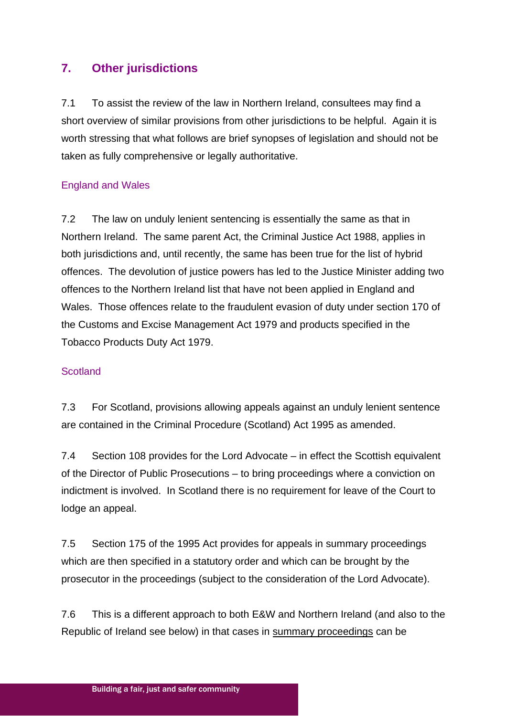# **7. Other jurisdictions**

7.1 To assist the review of the law in Northern Ireland, consultees may find a short overview of similar provisions from other jurisdictions to be helpful. Again it is worth stressing that what follows are brief synopses of legislation and should not be taken as fully comprehensive or legally authoritative.

## England and Wales

7.2 The law on unduly lenient sentencing is essentially the same as that in Northern Ireland. The same parent Act, the Criminal Justice Act 1988, applies in both jurisdictions and, until recently, the same has been true for the list of hybrid offences. The devolution of justice powers has led to the Justice Minister adding two offences to the Northern Ireland list that have not been applied in England and Wales. Those offences relate to the fraudulent evasion of duty under section 170 of the Customs and Excise Management Act 1979 and products specified in the Tobacco Products Duty Act 1979.

## **Scotland**

7.3 For Scotland, provisions allowing appeals against an unduly lenient sentence are contained in the Criminal Procedure (Scotland) Act 1995 as amended.

7.4 Section 108 provides for the Lord Advocate – in effect the Scottish equivalent of the Director of Public Prosecutions – to bring proceedings where a conviction on indictment is involved. In Scotland there is no requirement for leave of the Court to lodge an appeal.

7.5 Section 175 of the 1995 Act provides for appeals in summary proceedings which are then specified in a statutory order and which can be brought by the prosecutor in the proceedings (subject to the consideration of the Lord Advocate).

7.6 This is a different approach to both E&W and Northern Ireland (and also to the Republic of Ireland see below) in that cases in summary proceedings can be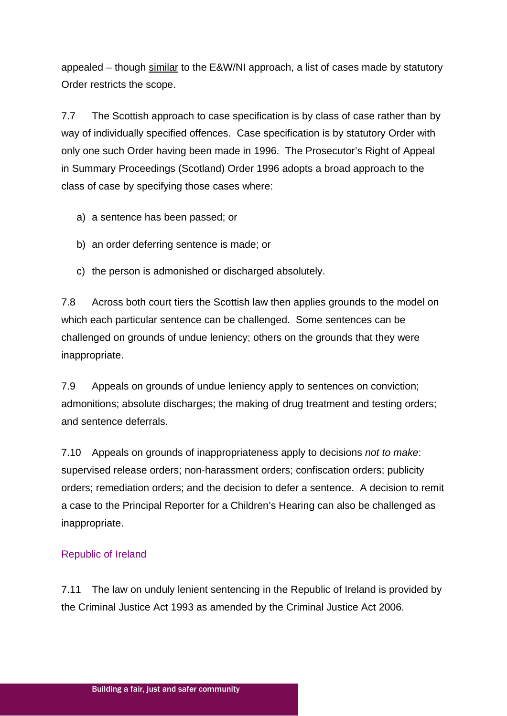appealed – though similar to the E&W/NI approach, a list of cases made by statutory Order restricts the scope.

7.7 The Scottish approach to case specification is by class of case rather than by way of individually specified offences. Case specification is by statutory Order with only one such Order having been made in 1996. The Prosecutor's Right of Appeal in Summary Proceedings (Scotland) Order 1996 adopts a broad approach to the class of case by specifying those cases where:

a) a sentence has been passed; or

- b) an order deferring sentence is made; or
- c) the person is admonished or discharged absolutely.

7.8 Across both court tiers the Scottish law then applies grounds to the model on which each particular sentence can be challenged. Some sentences can be challenged on grounds of undue leniency; others on the grounds that they were inappropriate.

7.9 Appeals on grounds of undue leniency apply to sentences on conviction; admonitions; absolute discharges; the making of drug treatment and testing orders; and sentence deferrals.

7.10 Appeals on grounds of inappropriateness apply to decisions *not to make*: supervised release orders; non-harassment orders; confiscation orders; publicity orders; remediation orders; and the decision to defer a sentence. A decision to remit a case to the Principal Reporter for a Children's Hearing can also be challenged as inappropriate.

## Republic of Ireland

7.11 The law on unduly lenient sentencing in the Republic of Ireland is provided by the Criminal Justice Act 1993 as amended by the Criminal Justice Act 2006.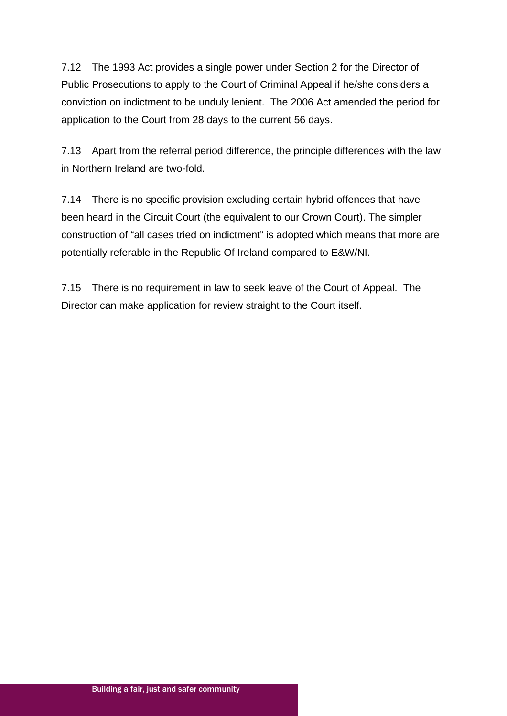7.12 The 1993 Act provides a single power under Section 2 for the Director of Public Prosecutions to apply to the Court of Criminal Appeal if he/she considers a conviction on indictment to be unduly lenient. The 2006 Act amended the period for application to the Court from 28 days to the current 56 days.

7.13 Apart from the referral period difference, the principle differences with the law in Northern Ireland are two-fold.

7.14 There is no specific provision excluding certain hybrid offences that have been heard in the Circuit Court (the equivalent to our Crown Court). The simpler construction of "all cases tried on indictment" is adopted which means that more are potentially referable in the Republic Of Ireland compared to E&W/NI.

7.15 There is no requirement in law to seek leave of the Court of Appeal. The Director can make application for review straight to the Court itself.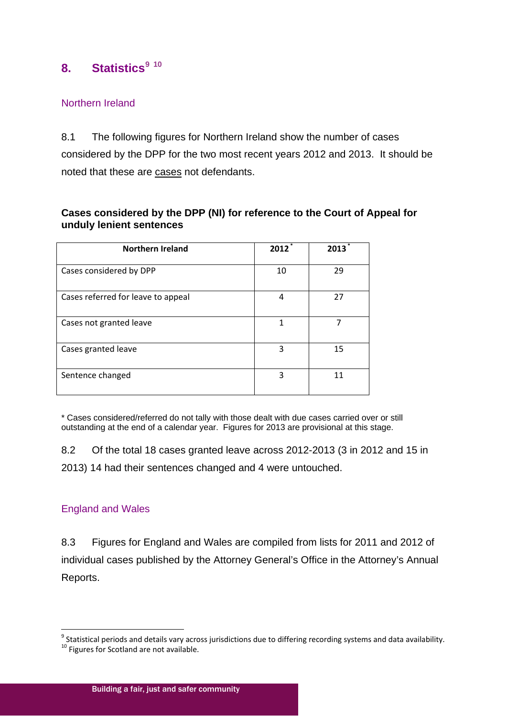# **8. Statistics[9](#page-10-1) [10](#page-20-0)**

## Northern Ireland

8.1 The following figures for Northern Ireland show the number of cases considered by the DPP for the two most recent years 2012 and 2013. It should be noted that these are cases not defendants.

## **Cases considered by the DPP (NI) for reference to the Court of Appeal for unduly lenient sentences**

| <b>Northern Ireland</b>            | 2012 | 2013 |
|------------------------------------|------|------|
| Cases considered by DPP            | 10   | 29   |
| Cases referred for leave to appeal | 4    | 27   |
| Cases not granted leave            | 1    |      |
| Cases granted leave                | 3    | 15   |
| Sentence changed                   | 3    | 11   |

\* Cases considered/referred do not tally with those dealt with due cases carried over or still outstanding at the end of a calendar year. Figures for 2013 are provisional at this stage.

8.2 Of the total 18 cases granted leave across 2012-2013 (3 in 2012 and 15 in 2013) 14 had their sentences changed and 4 were untouched.

## England and Wales

8.3 Figures for England and Wales are compiled from lists for 2011 and 2012 of individual cases published by the Attorney General's Office in the Attorney's Annual Reports.

<span id="page-20-1"></span><span id="page-20-0"></span> $9$  Statistical periods and details vary across jurisdictions due to differing recording systems and data availability. <sup>10</sup> Figures for Scotland are not available.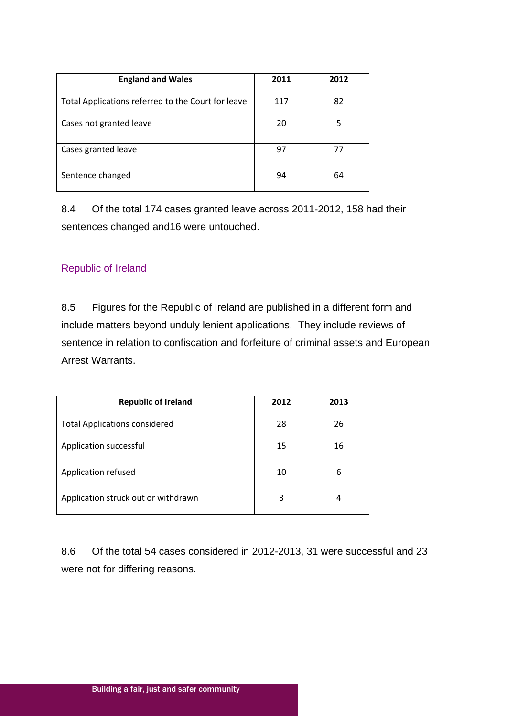| <b>England and Wales</b>                           | 2011 | 2012 |
|----------------------------------------------------|------|------|
| Total Applications referred to the Court for leave | 117  | 82   |
| Cases not granted leave                            | 20   | 5    |
| Cases granted leave                                | 97   | 77   |
| Sentence changed                                   | 94   | 64   |

8.4 Of the total 174 cases granted leave across 2011-2012, 158 had their sentences changed and16 were untouched.

## Republic of Ireland

8.5 Figures for the Republic of Ireland are published in a different form and include matters beyond unduly lenient applications. They include reviews of sentence in relation to confiscation and forfeiture of criminal assets and European Arrest Warrants.

| <b>Republic of Ireland</b>           | 2012 | 2013 |
|--------------------------------------|------|------|
| <b>Total Applications considered</b> | 28   | 26   |
| Application successful               | 15   | 16   |
| Application refused                  | 10   | 6    |
| Application struck out or withdrawn  | 3    | 4    |

8.6 Of the total 54 cases considered in 2012-2013, 31 were successful and 23 were not for differing reasons.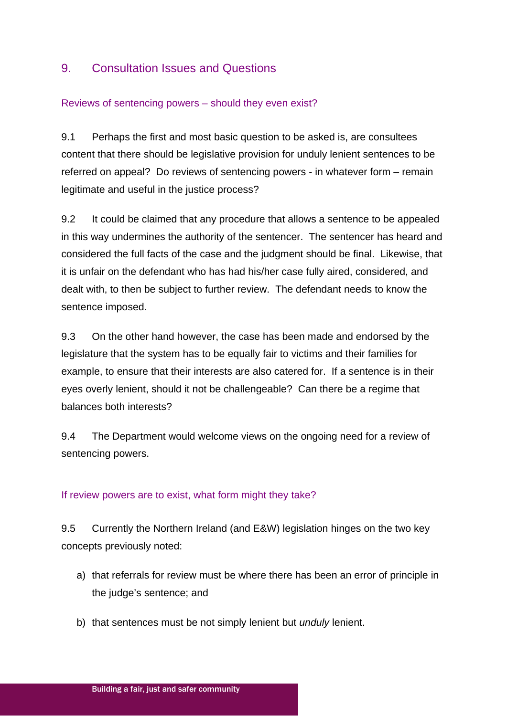## 9. Consultation Issues and Questions

## Reviews of sentencing powers – should they even exist?

9.1 Perhaps the first and most basic question to be asked is, are consultees content that there should be legislative provision for unduly lenient sentences to be referred on appeal? Do reviews of sentencing powers - in whatever form – remain legitimate and useful in the justice process?

9.2 It could be claimed that any procedure that allows a sentence to be appealed in this way undermines the authority of the sentencer. The sentencer has heard and considered the full facts of the case and the judgment should be final. Likewise, that it is unfair on the defendant who has had his/her case fully aired, considered, and dealt with, to then be subject to further review. The defendant needs to know the sentence imposed.

9.3 On the other hand however, the case has been made and endorsed by the legislature that the system has to be equally fair to victims and their families for example, to ensure that their interests are also catered for. If a sentence is in their eyes overly lenient, should it not be challengeable? Can there be a regime that balances both interests?

9.4 The Department would welcome views on the ongoing need for a review of sentencing powers.

## If review powers are to exist, what form might they take?

9.5 Currently the Northern Ireland (and E&W) legislation hinges on the two key concepts previously noted:

- a) that referrals for review must be where there has been an error of principle in the judge's sentence; and
- b) that sentences must be not simply lenient but *unduly* lenient.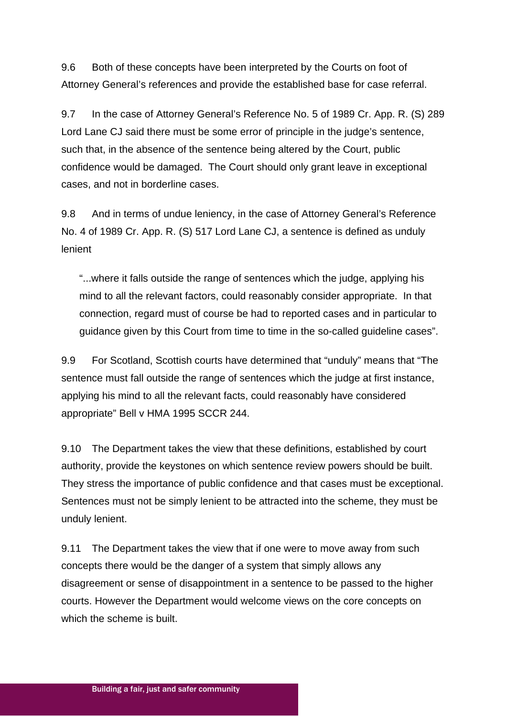9.6 Both of these concepts have been interpreted by the Courts on foot of Attorney General's references and provide the established base for case referral.

9.7 In the case of Attorney General's Reference No. 5 of 1989 Cr. App. R. (S) 289 Lord Lane CJ said there must be some error of principle in the judge's sentence, such that, in the absence of the sentence being altered by the Court, public confidence would be damaged. The Court should only grant leave in exceptional cases, and not in borderline cases.

9.8 And in terms of undue leniency, in the case of Attorney General's Reference No. 4 of 1989 Cr. App. R. (S) 517 Lord Lane CJ, a sentence is defined as unduly lenient

"...where it falls outside the range of sentences which the judge, applying his mind to all the relevant factors, could reasonably consider appropriate. In that connection, regard must of course be had to reported cases and in particular to guidance given by this Court from time to time in the so-called guideline cases".

9.9 For Scotland, Scottish courts have determined that "unduly" means that "The sentence must fall outside the range of sentences which the judge at first instance, applying his mind to all the relevant facts, could reasonably have considered appropriate" Bell v HMA 1995 SCCR 244.

9.10 The Department takes the view that these definitions, established by court authority, provide the keystones on which sentence review powers should be built. They stress the importance of public confidence and that cases must be exceptional. Sentences must not be simply lenient to be attracted into the scheme, they must be unduly lenient.

9.11 The Department takes the view that if one were to move away from such concepts there would be the danger of a system that simply allows any disagreement or sense of disappointment in a sentence to be passed to the higher courts. However the Department would welcome views on the core concepts on which the scheme is built.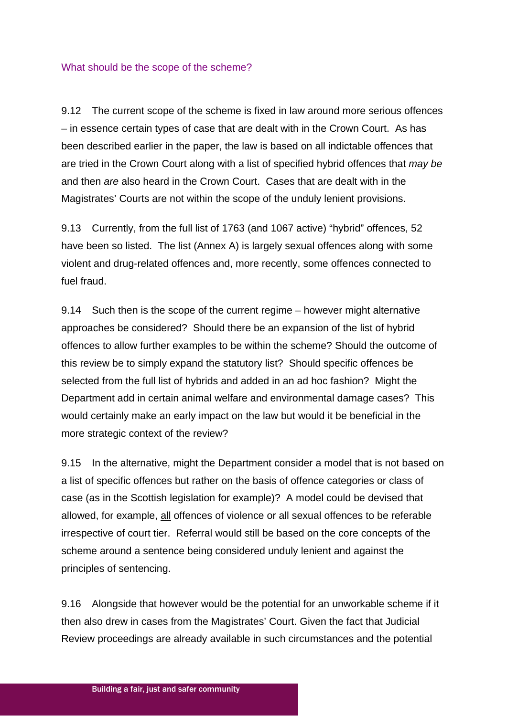#### What should be the scope of the scheme?

9.12 The current scope of the scheme is fixed in law around more serious offences – in essence certain types of case that are dealt with in the Crown Court. As has been described earlier in the paper, the law is based on all indictable offences that are tried in the Crown Court along with a list of specified hybrid offences that *may be* and then *are* also heard in the Crown Court. Cases that are dealt with in the Magistrates' Courts are not within the scope of the unduly lenient provisions.

9.13 Currently, from the full list of 1763 (and 1067 active) "hybrid" offences, 52 have been so listed. The list (Annex A) is largely sexual offences along with some violent and drug-related offences and, more recently, some offences connected to fuel fraud.

9.14 Such then is the scope of the current regime – however might alternative approaches be considered? Should there be an expansion of the list of hybrid offences to allow further examples to be within the scheme? Should the outcome of this review be to simply expand the statutory list? Should specific offences be selected from the full list of hybrids and added in an ad hoc fashion? Might the Department add in certain animal welfare and environmental damage cases? This would certainly make an early impact on the law but would it be beneficial in the more strategic context of the review?

9.15 In the alternative, might the Department consider a model that is not based on a list of specific offences but rather on the basis of offence categories or class of case (as in the Scottish legislation for example)? A model could be devised that allowed, for example, all offences of violence or all sexual offences to be referable irrespective of court tier. Referral would still be based on the core concepts of the scheme around a sentence being considered unduly lenient and against the principles of sentencing.

9.16 Alongside that however would be the potential for an unworkable scheme if it then also drew in cases from the Magistrates' Court. Given the fact that Judicial Review proceedings are already available in such circumstances and the potential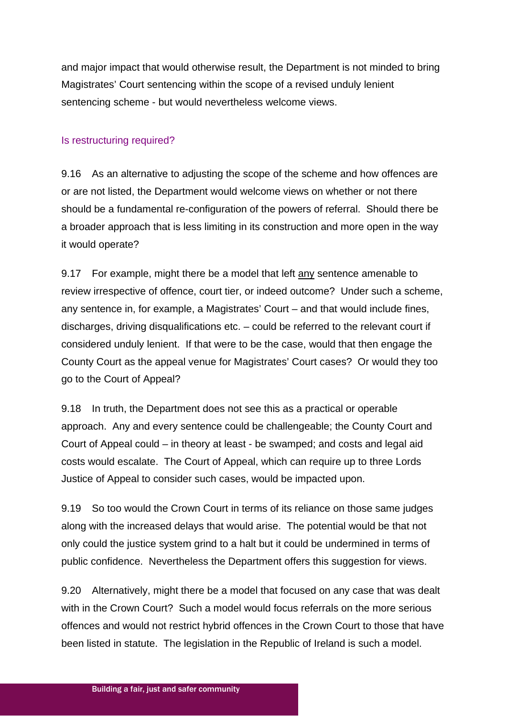and major impact that would otherwise result, the Department is not minded to bring Magistrates' Court sentencing within the scope of a revised unduly lenient sentencing scheme - but would nevertheless welcome views.

#### Is restructuring required?

9.16 As an alternative to adjusting the scope of the scheme and how offences are or are not listed, the Department would welcome views on whether or not there should be a fundamental re-configuration of the powers of referral. Should there be a broader approach that is less limiting in its construction and more open in the way it would operate?

9.17 For example, might there be a model that left any sentence amenable to review irrespective of offence, court tier, or indeed outcome? Under such a scheme, any sentence in, for example, a Magistrates' Court – and that would include fines, discharges, driving disqualifications etc. – could be referred to the relevant court if considered unduly lenient. If that were to be the case, would that then engage the County Court as the appeal venue for Magistrates' Court cases? Or would they too go to the Court of Appeal?

9.18 In truth, the Department does not see this as a practical or operable approach. Any and every sentence could be challengeable; the County Court and Court of Appeal could – in theory at least - be swamped; and costs and legal aid costs would escalate. The Court of Appeal, which can require up to three Lords Justice of Appeal to consider such cases, would be impacted upon.

9.19 So too would the Crown Court in terms of its reliance on those same judges along with the increased delays that would arise. The potential would be that not only could the justice system grind to a halt but it could be undermined in terms of public confidence. Nevertheless the Department offers this suggestion for views.

9.20 Alternatively, might there be a model that focused on any case that was dealt with in the Crown Court? Such a model would focus referrals on the more serious offences and would not restrict hybrid offences in the Crown Court to those that have been listed in statute. The legislation in the Republic of Ireland is such a model.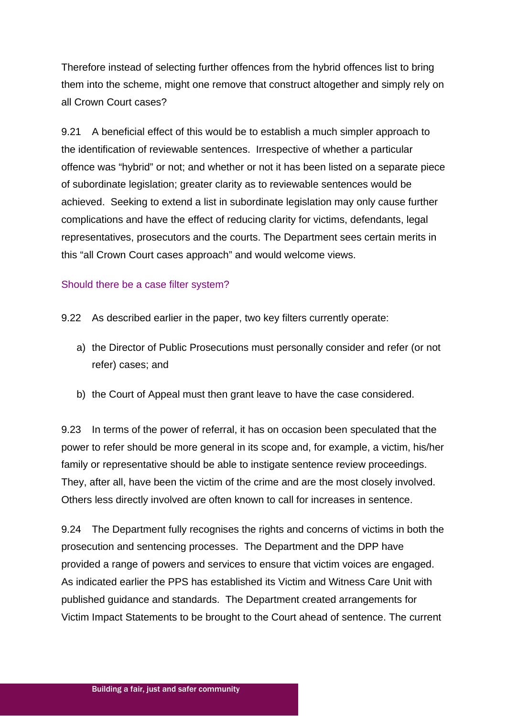Therefore instead of selecting further offences from the hybrid offences list to bring them into the scheme, might one remove that construct altogether and simply rely on all Crown Court cases?

9.21 A beneficial effect of this would be to establish a much simpler approach to the identification of reviewable sentences. Irrespective of whether a particular offence was "hybrid" or not; and whether or not it has been listed on a separate piece of subordinate legislation; greater clarity as to reviewable sentences would be achieved. Seeking to extend a list in subordinate legislation may only cause further complications and have the effect of reducing clarity for victims, defendants, legal representatives, prosecutors and the courts. The Department sees certain merits in this "all Crown Court cases approach" and would welcome views.

#### Should there be a case filter system?

- 9.22 As described earlier in the paper, two key filters currently operate:
	- a) the Director of Public Prosecutions must personally consider and refer (or not refer) cases; and
	- b) the Court of Appeal must then grant leave to have the case considered.

9.23 In terms of the power of referral, it has on occasion been speculated that the power to refer should be more general in its scope and, for example, a victim, his/her family or representative should be able to instigate sentence review proceedings. They, after all, have been the victim of the crime and are the most closely involved. Others less directly involved are often known to call for increases in sentence.

9.24 The Department fully recognises the rights and concerns of victims in both the prosecution and sentencing processes. The Department and the DPP have provided a range of powers and services to ensure that victim voices are engaged. As indicated earlier the PPS has established its Victim and Witness Care Unit with published guidance and standards. The Department created arrangements for Victim Impact Statements to be brought to the Court ahead of sentence. The current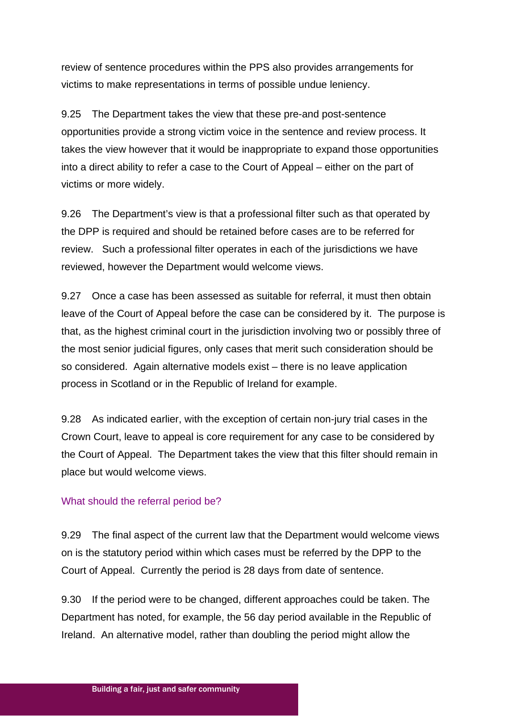review of sentence procedures within the PPS also provides arrangements for victims to make representations in terms of possible undue leniency.

9.25 The Department takes the view that these pre-and post-sentence opportunities provide a strong victim voice in the sentence and review process. It takes the view however that it would be inappropriate to expand those opportunities into a direct ability to refer a case to the Court of Appeal – either on the part of victims or more widely.

9.26 The Department's view is that a professional filter such as that operated by the DPP is required and should be retained before cases are to be referred for review. Such a professional filter operates in each of the jurisdictions we have reviewed, however the Department would welcome views.

9.27 Once a case has been assessed as suitable for referral, it must then obtain leave of the Court of Appeal before the case can be considered by it. The purpose is that, as the highest criminal court in the jurisdiction involving two or possibly three of the most senior judicial figures, only cases that merit such consideration should be so considered. Again alternative models exist – there is no leave application process in Scotland or in the Republic of Ireland for example.

9.28 As indicated earlier, with the exception of certain non-jury trial cases in the Crown Court, leave to appeal is core requirement for any case to be considered by the Court of Appeal. The Department takes the view that this filter should remain in place but would welcome views.

## What should the referral period be?

9.29 The final aspect of the current law that the Department would welcome views on is the statutory period within which cases must be referred by the DPP to the Court of Appeal. Currently the period is 28 days from date of sentence.

9.30 If the period were to be changed, different approaches could be taken. The Department has noted, for example, the 56 day period available in the Republic of Ireland. An alternative model, rather than doubling the period might allow the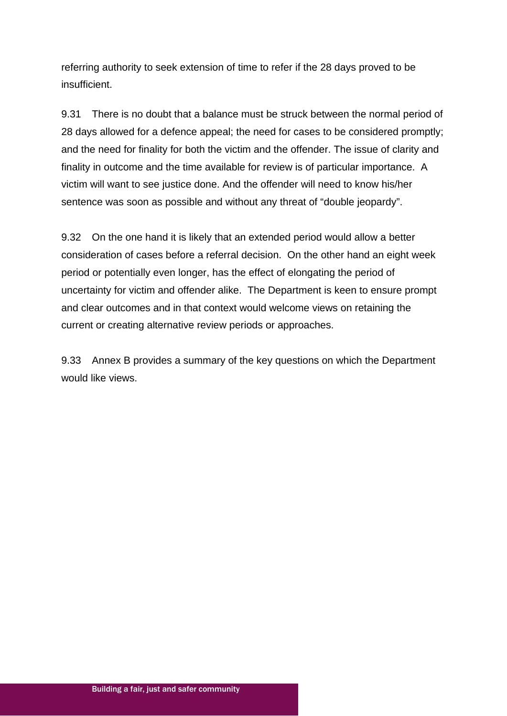referring authority to seek extension of time to refer if the 28 days proved to be insufficient.

9.31 There is no doubt that a balance must be struck between the normal period of 28 days allowed for a defence appeal; the need for cases to be considered promptly; and the need for finality for both the victim and the offender. The issue of clarity and finality in outcome and the time available for review is of particular importance. A victim will want to see justice done. And the offender will need to know his/her sentence was soon as possible and without any threat of "double jeopardy".

9.32 On the one hand it is likely that an extended period would allow a better consideration of cases before a referral decision. On the other hand an eight week period or potentially even longer, has the effect of elongating the period of uncertainty for victim and offender alike. The Department is keen to ensure prompt and clear outcomes and in that context would welcome views on retaining the current or creating alternative review periods or approaches.

9.33 Annex B provides a summary of the key questions on which the Department would like views.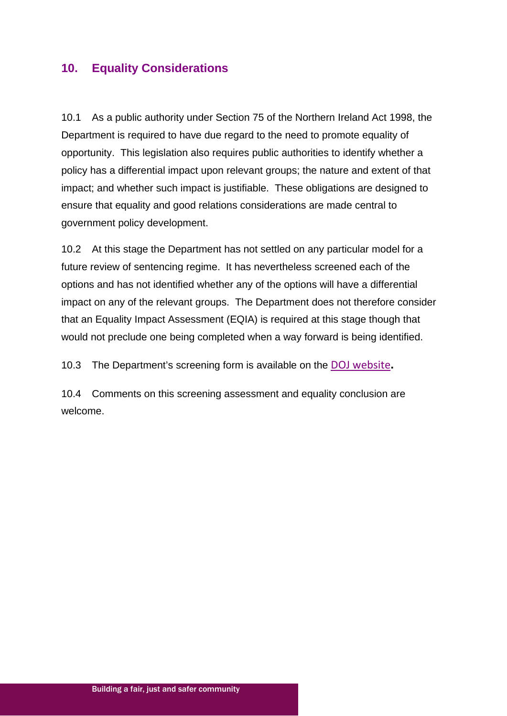# **10. Equality Considerations**

10.1 As a public authority under Section 75 of the Northern Ireland Act 1998, the Department is required to have due regard to the need to promote equality of opportunity. This legislation also requires public authorities to identify whether a policy has a differential impact upon relevant groups; the nature and extent of that impact; and whether such impact is justifiable. These obligations are designed to ensure that equality and good relations considerations are made central to government policy development.

10.2 At this stage the Department has not settled on any particular model for a future review of sentencing regime. It has nevertheless screened each of the options and has not identified whether any of the options will have a differential impact on any of the relevant groups. The Department does not therefore consider that an Equality Impact Assessment (EQIA) is required at this stage though that would not preclude one being completed when a way forward is being identified.

10.3 The Department's screening form is available on the [DOJ website](http://www.dojni.gov.uk/)**.** 

10.4 Comments on this screening assessment and equality conclusion are welcome.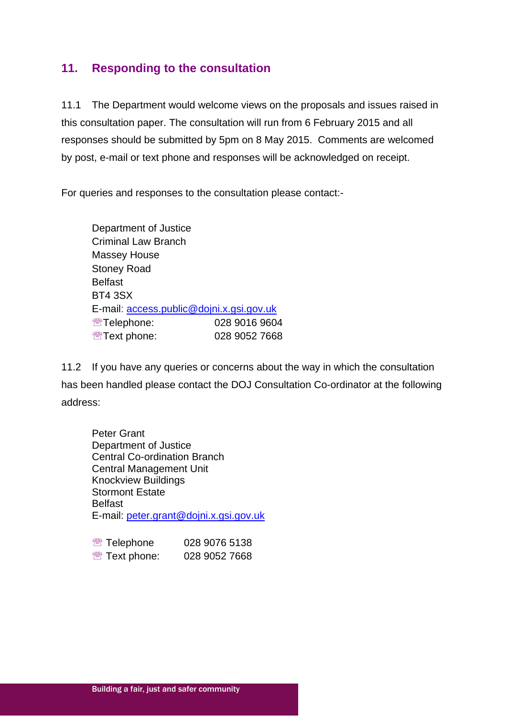# **11. Responding to the consultation**

11.1 The Department would welcome views on the proposals and issues raised in this consultation paper. The consultation will run from 6 February 2015 and all responses should be submitted by 5pm on 8 May 2015. Comments are welcomed by post, e-mail or text phone and responses will be acknowledged on receipt.

For queries and responses to the consultation please contact:-

Department of Justice Criminal Law Branch Massey House Stoney Road **Belfast** BT4 3SX E-mail: [access.public@dojni.x.gsi.gov.uk](mailto:access.public@dojni.x.gsi.gov.uk) **图Telephone: 028 9016 9604 图 Text phone: 028 9052 7668** 

11.2 If you have any queries or concerns about the way in which the consultation has been handled please contact the DOJ Consultation Co-ordinator at the following address:

Peter Grant Department of Justice Central Co-ordination Branch Central Management Unit Knockview Buildings Stormont Estate **Belfast** E-mail: [peter.grant@dojni.x.gsi.gov.uk](mailto:peter.grant@dojni.x.gsi.gov.uk)

| <sup><b>图 Telephone</b></sup> | 028 9076 5138 |
|-------------------------------|---------------|
| <sup>®</sup> Text phone:      | 028 9052 7668 |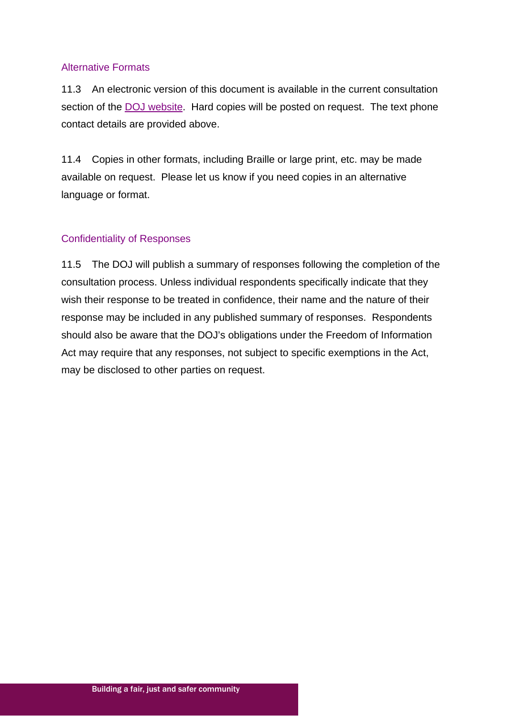#### Alternative Formats

11.3 An electronic version of this document is available in the current consultation section of the [DOJ website.](http://www.dojni.gov.uk/index/public-consultations/current-consultations.htm) Hard copies will be posted on request. The text phone contact details are provided above.

11.4 Copies in other formats, including Braille or large print, etc. may be made available on request. Please let us know if you need copies in an alternative language or format.

#### Confidentiality of Responses

11.5 The DOJ will publish a summary of responses following the completion of the consultation process. Unless individual respondents specifically indicate that they wish their response to be treated in confidence, their name and the nature of their response may be included in any published summary of responses. Respondents should also be aware that the DOJ's obligations under the Freedom of Information Act may require that any responses, not subject to specific exemptions in the Act, may be disclosed to other parties on request.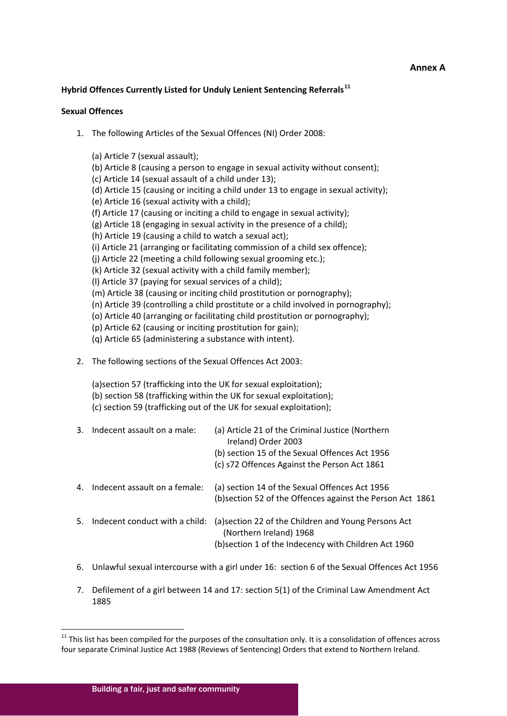#### **Annex A**

#### **Hybrid Offences Currently Listed for Unduly Lenient Sentencing Referrals[11](#page-20-1)**

#### **Sexual Offences**

1. The following Articles of the Sexual Offences (NI) Order 2008:

(a) Article 7 (sexual assault); (b) Article 8 (causing a person to engage in sexual activity without consent); (c) Article 14 (sexual assault of a child under 13); (d) Article 15 (causing or inciting a child under 13 to engage in sexual activity); (e) Article 16 (sexual activity with a child); (f) Article 17 (causing or inciting a child to engage in sexual activity); (g) Article 18 (engaging in sexual activity in the presence of a child); (h) Article 19 (causing a child to watch a sexual act); (i) Article 21 (arranging or facilitating commission of a child sex offence); (j) Article 22 (meeting a child following sexual grooming etc.); (k) Article 32 (sexual activity with a child family member); (l) Article 37 (paying for sexual services of a child); (m) Article 38 (causing or inciting child prostitution or pornography); (n) Article 39 (controlling a child prostitute or a child involved in pornography); (o) Article 40 (arranging or facilitating child prostitution or pornography); (p) Article 62 (causing or inciting prostitution for gain); (q) Article 65 (administering a substance with intent). 2. The following sections of the Sexual Offences Act 2003: (a)section 57 (trafficking into the UK for sexual exploitation); (b) section 58 (trafficking within the UK for sexual exploitation); (c) section 59 (trafficking out of the UK for sexual exploitation); 3. Indecent assault on a male: (a) Article 21 of the Criminal Justice (Northern Ireland) Order 2003 (b) section 15 of the Sexual Offences Act 1956 (c) s72 Offences Against the Person Act 1861 4. Indecent assault on a female: (a) section 14 of the Sexual Offences Act 1956 (b)section 52 of the Offences against the Person Act 1861

- 5. Indecent conduct with a child: (a)section 22 of the Children and Young Persons Act (Northern Ireland) 1968 (b)section 1 of the Indecency with Children Act 1960
- 6. Unlawful sexual intercourse with a girl under 16: section 6 of the Sexual Offences Act 1956
- 7. Defilement of a girl between 14 and 17: section 5(1) of the Criminal Law Amendment Act 1885

 $11$  This list has been compiled for the purposes of the consultation only. It is a consolidation of offences across four separate Criminal Justice Act 1988 (Reviews of Sentencing) Orders that extend to Northern Ireland.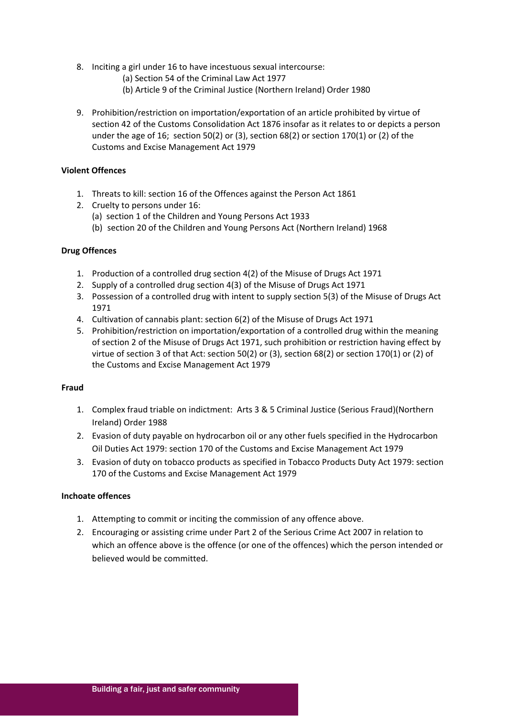- 8. Inciting a girl under 16 to have incestuous sexual intercourse:
	- (a) Section 54 of the Criminal Law Act 1977
	- (b) Article 9 of the Criminal Justice (Northern Ireland) Order 1980
- 9. Prohibition/restriction on importation/exportation of an article prohibited by virtue of section 42 of the Customs Consolidation Act 1876 insofar as it relates to or depicts a person under the age of 16; section 50(2) or (3), section 68(2) or section 170(1) or (2) of the Customs and Excise Management Act 1979

#### **Violent Offences**

- 1. Threats to kill: section 16 of the Offences against the Person Act 1861
- 2. Cruelty to persons under 16:
	- (a) section 1 of the Children and Young Persons Act 1933
	- (b) section 20 of the Children and Young Persons Act (Northern Ireland) 1968

#### **Drug Offences**

- 1. Production of a controlled drug section 4(2) of the Misuse of Drugs Act 1971
- 2. Supply of a controlled drug section 4(3) of the Misuse of Drugs Act 1971
- 3. Possession of a controlled drug with intent to supply section 5(3) of the Misuse of Drugs Act 1971
- 4. Cultivation of cannabis plant: section 6(2) of the Misuse of Drugs Act 1971
- 5. Prohibition/restriction on importation/exportation of a controlled drug within the meaning of section 2 of the Misuse of Drugs Act 1971, such prohibition or restriction having effect by virtue of section 3 of that Act: section 50(2) or (3), section 68(2) or section 170(1) or (2) of the Customs and Excise Management Act 1979

#### **Fraud**

- 1. Complex fraud triable on indictment: Arts 3 & 5 Criminal Justice (Serious Fraud)(Northern Ireland) Order 1988
- 2. Evasion of duty payable on hydrocarbon oil or any other fuels specified in the Hydrocarbon Oil Duties Act 1979: section 170 of the Customs and Excise Management Act 1979
- 3. Evasion of duty on tobacco products as specified in Tobacco Products Duty Act 1979: section 170 of the Customs and Excise Management Act 1979

#### **Inchoate offences**

- 1. Attempting to commit or inciting the commission of any offence above.
- 2. Encouraging or assisting crime under Part 2 of the Serious Crime Act 2007 in relation to which an offence above is the offence (or one of the offences) which the person intended or believed would be committed.